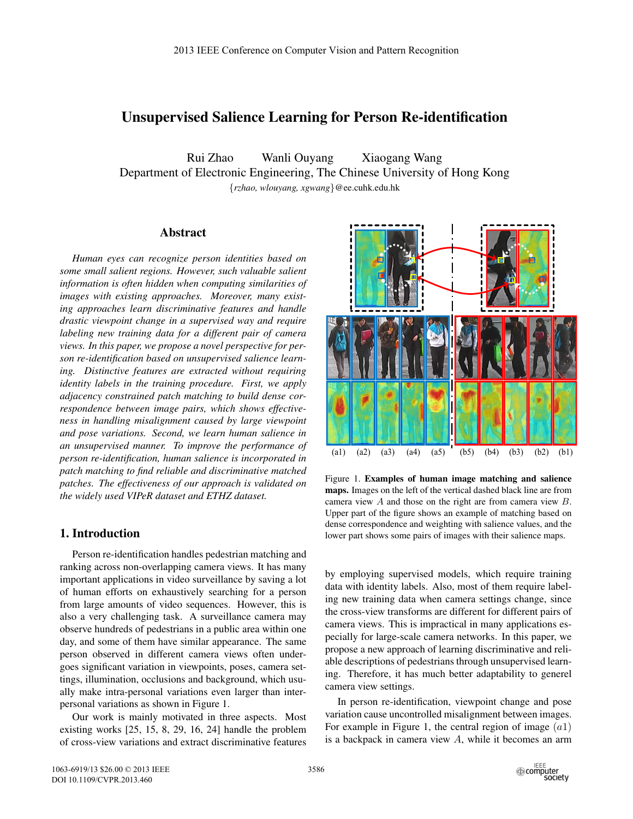# Unsupervised Salience Learning for Person Re-identification

Rui Zhao Wanli Ouyang Xiaogang Wang Department of Electronic Engineering, The Chinese University of Hong Kong {*rzhao, wlouyang, xgwang*}@ee.cuhk.edu.hk

# Abstract

*Human eyes can recognize person identities based on some small salient regions. However, such valuable salient information is often hidden when computing similarities of images with existing approaches. Moreover, many existing approaches learn discriminative features and handle drastic viewpoint change in a supervised way and require labeling new training data for a different pair of camera views. In this paper, we propose a novel perspective for person re-identification based on unsupervised salience learning. Distinctive features are extracted without requiring identity labels in the training procedure. First, we apply adjacency constrained patch matching to build dense correspondence between image pairs, which shows effectiveness in handling misalignment caused by large viewpoint and pose variations. Second, we learn human salience in an unsupervised manner. To improve the performance of person re-identification, human salience is incorporated in patch matching to find reliable and discriminative matched patches. The effectiveness of our approach is validated on the widely used VIPeR dataset and ETHZ dataset.*

# 1. Introduction

Person re-identification handles pedestrian matching and ranking across non-overlapping camera views. It has many important applications in video surveillance by saving a lot of human efforts on exhaustively searching for a person from large amounts of video sequences. However, this is also a very challenging task. A surveillance camera may observe hundreds of pedestrians in a public area within one day, and some of them have similar appearance. The same person observed in different camera views often undergoes significant variation in viewpoints, poses, camera settings, illumination, occlusions and background, which usually make intra-personal variations even larger than interpersonal variations as shown in Figure 1.

Our work is mainly motivated in three aspects. Most existing works [25, 15, 8, 29, 16, 24] handle the problem of cross-view variations and extract discriminative features



Figure 1. Examples of human image matching and salience maps. Images on the left of the vertical dashed black line are from camera view A and those on the right are from camera view B. Upper part of the figure shows an example of matching based on dense correspondence and weighting with salience values, and the lower part shows some pairs of images with their salience maps.

by employing supervised models, which require training data with identity labels. Also, most of them require labeling new training data when camera settings change, since the cross-view transforms are different for different pairs of camera views. This is impractical in many applications especially for large-scale camera networks. In this paper, we propose a new approach of learning discriminative and reliable descriptions of pedestrians through unsupervised learning. Therefore, it has much better adaptability to generel camera view settings.

In person re-identification, viewpoint change and pose variation cause uncontrolled misalignment between images. For example in Figure 1, the central region of image  $(a1)$ is a backpack in camera view  $A$ , while it becomes an arm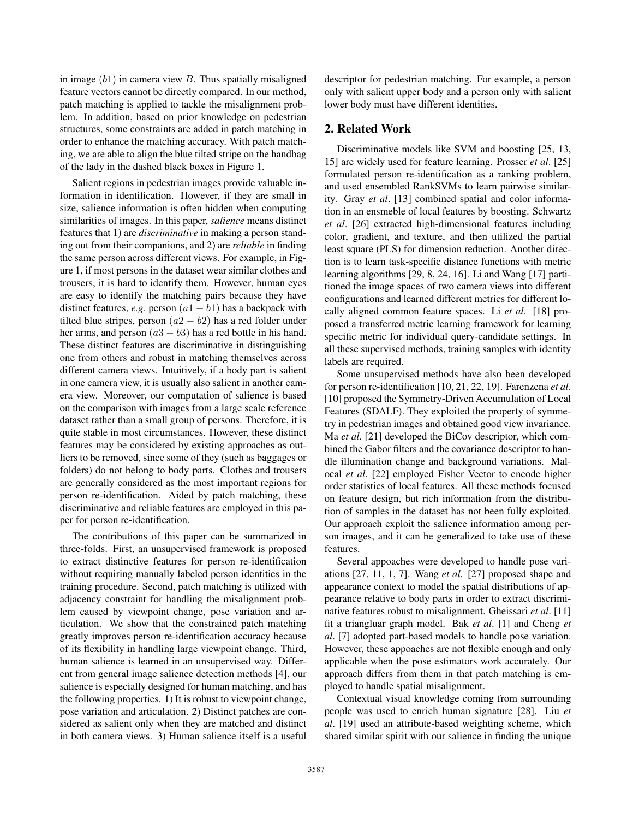in image  $(b1)$  in camera view  $B$ . Thus spatially misaligned feature vectors cannot be directly compared. In our method, patch matching is applied to tackle the misalignment problem. In addition, based on prior knowledge on pedestrian structures, some constraints are added in patch matching in order to enhance the matching accuracy. With patch matching, we are able to align the blue tilted stripe on the handbag of the lady in the dashed black boxes in Figure 1.

Salient regions in pedestrian images provide valuable information in identification. However, if they are small in size, salience information is often hidden when computing similarities of images. In this paper, *salience* means distinct features that 1) are *discriminative* in making a person standing out from their companions, and 2) are *reliable* in finding the same person across different views. For example, in Figure 1, if most persons in the dataset wear similar clothes and trousers, it is hard to identify them. However, human eyes are easy to identify the matching pairs because they have distinct features, *e.g.* person  $(a1 - b1)$  has a backpack with tilted blue stripes, person  $(a2 - b2)$  has a red folder under her arms, and person  $(a3 - b3)$  has a red bottle in his hand. These distinct features are discriminative in distinguishing one from others and robust in matching themselves across different camera views. Intuitively, if a body part is salient in one camera view, it is usually also salient in another camera view. Moreover, our computation of salience is based on the comparison with images from a large scale reference dataset rather than a small group of persons. Therefore, it is quite stable in most circumstances. However, these distinct features may be considered by existing approaches as outliers to be removed, since some of they (such as baggages or folders) do not belong to body parts. Clothes and trousers are generally considered as the most important regions for person re-identification. Aided by patch matching, these discriminative and reliable features are employed in this paper for person re-identification.

The contributions of this paper can be summarized in three-folds. First, an unsupervised framework is proposed to extract distinctive features for person re-identification without requiring manually labeled person identities in the training procedure. Second, patch matching is utilized with adjacency constraint for handling the misalignment problem caused by viewpoint change, pose variation and articulation. We show that the constrained patch matching greatly improves person re-identification accuracy because of its flexibility in handling large viewpoint change. Third, human salience is learned in an unsupervised way. Different from general image salience detection methods [4], our salience is especially designed for human matching, and has the following properties. 1) It is robust to viewpoint change, pose variation and articulation. 2) Distinct patches are considered as salient only when they are matched and distinct in both camera views. 3) Human salience itself is a useful

descriptor for pedestrian matching. For example, a person only with salient upper body and a person only with salient lower body must have different identities.

## 2. Related Work

Discriminative models like SVM and boosting [25, 13, 15] are widely used for feature learning. Prosser *et al*. [25] formulated person re-identification as a ranking problem, and used ensembled RankSVMs to learn pairwise similarity. Gray *et al*. [13] combined spatial and color information in an ensmeble of local features by boosting. Schwartz *et al*. [26] extracted high-dimensional features including color, gradient, and texture, and then utilized the partial least square (PLS) for dimension reduction. Another direction is to learn task-specific distance functions with metric learning algorithms [29, 8, 24, 16]. Li and Wang [17] partitioned the image spaces of two camera views into different configurations and learned different metrics for different locally aligned common feature spaces. Li *et al.* [18] proposed a transferred metric learning framework for learning specific metric for individual query-candidate settings. In all these supervised methods, training samples with identity labels are required.

Some unsupervised methods have also been developed for person re-identification [10, 21, 22, 19]. Farenzena *et al*. [10] proposed the Symmetry-Driven Accumulation of Local Features (SDALF). They exploited the property of symmetry in pedestrian images and obtained good view invariance. Ma *et al*. [21] developed the BiCov descriptor, which combined the Gabor filters and the covariance descriptor to handle illumination change and background variations. Malocal *et al*. [22] employed Fisher Vector to encode higher order statistics of local features. All these methods focused on feature design, but rich information from the distribution of samples in the dataset has not been fully exploited. Our approach exploit the salience information among person images, and it can be generalized to take use of these features.

Several appoaches were developed to handle pose variations [27, 11, 1, 7]. Wang *et al.* [27] proposed shape and appearance context to model the spatial distributions of appearance relative to body parts in order to extract discriminative features robust to misalignment. Gheissari *et al*. [11] fit a triangluar graph model. Bak *et al*. [1] and Cheng *et al*. [7] adopted part-based models to handle pose variation. However, these appoaches are not flexible enough and only applicable when the pose estimators work accurately. Our approach differs from them in that patch matching is employed to handle spatial misalignment.

Contextual visual knowledge coming from surrounding people was used to enrich human signature [28]. Liu *et al*. [19] used an attribute-based weighting scheme, which shared similar spirit with our salience in finding the unique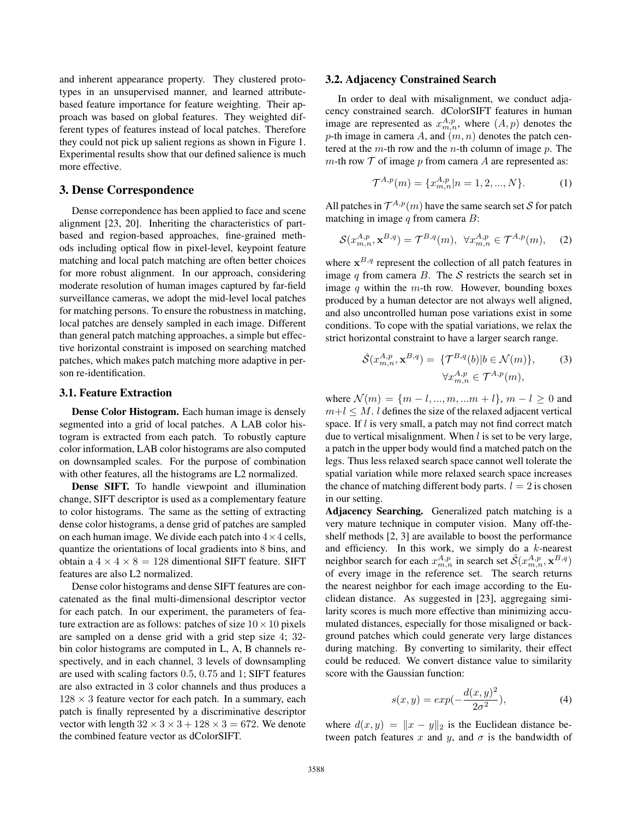and inherent appearance property. They clustered prototypes in an unsupervised manner, and learned attributebased feature importance for feature weighting. Their approach was based on global features. They weighted different types of features instead of local patches. Therefore they could not pick up salient regions as shown in Figure 1. Experimental results show that our defined salience is much more effective.

# 3. Dense Correspondence

Dense correpondence has been applied to face and scene alignment [23, 20]. Inheriting the characteristics of partbased and region-based approaches, fine-grained methods including optical flow in pixel-level, keypoint feature matching and local patch matching are often better choices for more robust alignment. In our approach, considering moderate resolution of human images captured by far-field surveillance cameras, we adopt the mid-level local patches for matching persons. To ensure the robustness in matching, local patches are densely sampled in each image. Different than general patch matching approaches, a simple but effective horizontal constraint is imposed on searching matched patches, which makes patch matching more adaptive in person re-identification.

#### 3.1. Feature Extraction

Dense Color Histogram. Each human image is densely segmented into a grid of local patches. A LAB color histogram is extracted from each patch. To robustly capture color information, LAB color histograms are also computed on downsampled scales. For the purpose of combination with other features, all the histograms are L2 normalized.

Dense SIFT. To handle viewpoint and illumination change, SIFT descriptor is used as a complementary feature to color histograms. The same as the setting of extracting dense color histograms, a dense grid of patches are sampled on each human image. We divide each patch into  $4 \times 4$  cells, quantize the orientations of local gradients into 8 bins, and obtain a  $4 \times 4 \times 8 = 128$  dimentional SIFT feature. SIFT features are also L2 normalized.

Dense color histograms and dense SIFT features are concatenated as the final multi-dimensional descriptor vector for each patch. In our experiment, the parameters of feature extraction are as follows: patches of size  $10 \times 10$  pixels are sampled on a dense grid with a grid step size 4; 32 bin color histograms are computed in L, A, B channels respectively, and in each channel, 3 levels of downsampling are used with scaling factors 0.5, 0.75 and 1; SIFT features are also extracted in 3 color channels and thus produces a  $128 \times 3$  feature vector for each patch. In a summary, each patch is finally represented by a discriminative descriptor vector with length  $32 \times 3 \times 3 + 128 \times 3 = 672$ . We denote the combined feature vector as dColorSIFT.

#### 3.2. Adjacency Constrained Search

In order to deal with misalignment, we conduct adjacency constrained search. dColorSIFT features in human image are represented as  $x_{m,n}^{A,p}$ , where  $(A, p)$  denotes the natch cen-<br>n-th image in camera  $A$  and  $(m, p)$  denotes the natch cenp-th image in camera A, and  $(m, n)$  denotes the patch centered at the  $m$ -th row and the  $n$ -th column of image  $p$ . The m-th row  $T$  of image p from camera A are represented as:

$$
\mathcal{T}^{A,p}(m) = \{x_{m,n}^{A,p}|n = 1, 2, ..., N\}.
$$
 (1)

All patches in  $\mathcal{T}^{A,p}(m)$  have the same search set S for patch matching in image  $q$  from camera  $B$ :

$$
\mathcal{S}(x_{m,n}^{A,p}, \mathbf{x}^{B,q}) = \mathcal{T}^{B,q}(m), \ \ \forall x_{m,n}^{A,p} \in \mathcal{T}^{A,p}(m), \tag{2}
$$

where  $x^{B,q}$  represent the collection of all patch features in image  $q$  from camera  $B$ . The  $S$  restricts the search set in image  $q$  within the  $m$ -th row. However, bounding boxes produced by a human detector are not always well aligned, and also uncontrolled human pose variations exist in some conditions. To cope with the spatial variations, we relax the strict horizontal constraint to have a larger search range.

$$
\hat{\mathcal{S}}(x_{m,n}^{A,p}, \mathbf{x}^{B,q}) = \{ \mathcal{T}^{B,q}(b) | b \in \mathcal{N}(m) \},\qquad(3)
$$

$$
\forall x_{m,n}^{A,p} \in \mathcal{T}^{A,p}(m),
$$

where  $\mathcal{N}(m) = \{m - l, ..., m, ..., m + l\}, m - l \geq 0$  and  $m+l \leq M$ . l defines the size of the relaxed adjacent vertical space. If  $l$  is very small, a patch may not find correct match due to vertical misalignment. When  $l$  is set to be very large, a patch in the upper body would find a matched patch on the legs. Thus less relaxed search space cannot well tolerate the spatial variation while more relaxed search space increases the chance of matching different body parts.  $l = 2$  is chosen in our setting.

Adjacency Searching. Generalized patch matching is a very mature technique in computer vision. Many off-theshelf methods [2, 3] are available to boost the performance and efficiency. In this work, we simply do a  $k$ -nearest neighbor search for each  $x_{mn}^{A,p}$  in search set  $\hat{\mathcal{S}}(x_{mn}^{A,p}, \mathbf{x}^{B,q})$ <br>of every image in the reference set. The search returns of every image in the reference set. The search returns the nearest neighbor for each image according to the Euclidean distance. As suggested in [23], aggregaing similarity scores is much more effective than minimizing accumulated distances, especially for those misaligned or background patches which could generate very large distances during matching. By converting to similarity, their effect could be reduced. We convert distance value to similarity score with the Gaussian function:

$$
s(x, y) = exp(-\frac{d(x, y)^2}{2\sigma^2}),
$$
\n(4)

where  $d(x, y) = ||x - y||_2$  is the Euclidean distance between patch features x and y, and  $\sigma$  is the bandwidth of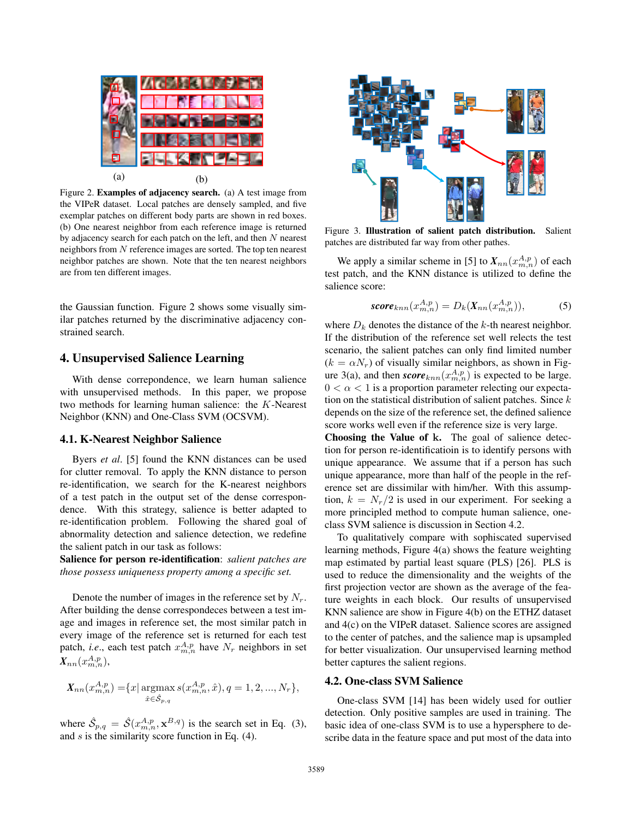

Figure 2. Examples of adjacency search. (a) A test image from the VIPeR dataset. Local patches are densely sampled, and five exemplar patches on different body parts are shown in red boxes. (b) One nearest neighbor from each reference image is returned by adjacency search for each patch on the left, and then N nearest neighbors from N reference images are sorted. The top ten nearest neighbor patches are shown. Note that the ten nearest neighbors are from ten different images.

the Gaussian function. Figure 2 shows some visually similar patches returned by the discriminative adjacency constrained search.

### 4. Unsupervised Salience Learning

With dense correpondence, we learn human salience with unsupervised methods. In this paper, we propose two methods for learning human salience: the K-Nearest Neighbor (KNN) and One-Class SVM (OCSVM).

#### 4.1. K-Nearest Neighbor Salience

Byers *et al*. [5] found the KNN distances can be used for clutter removal. To apply the KNN distance to person re-identification, we search for the K-nearest neighbors of a test patch in the output set of the dense correspondence. With this strategy, salience is better adapted to re-identification problem. Following the shared goal of abnormality detection and salience detection, we redefine the salient patch in our task as follows:

Salience for person re-identification: *salient patches are those possess uniqueness property among a specific set.*

Denote the number of images in the reference set by  $N_r$ . After building the dense correspondeces between a test image and images in reference set, the most similar patch in every image of the reference set is returned for each test patch, *i.e.*, each test patch  $x_{m,n}^{A,p}$  have  $N_r$  neighbors in set  $X_{nn}(x_{m,n}^{A,p}),$ 

$$
X_{nn}(x_{m,n}^{A,p}) = \{x \mid \underset{\hat{x} \in \hat{S}_{p,q}}{\operatorname{argmax}} s(x_{m,n}^{A,p}, \hat{x}), q = 1, 2, ..., N_r\},\
$$

where  $\hat{S}_{p,q} = \hat{S}(x_{m,n}^{A,p}, x^{B,q})$  is the search set in Eq. (3), and s is the similarity score function in Eq. (4) and  $s$  is the similarity score function in Eq.  $(4)$ .



Figure 3. Illustration of salient patch distribution. Salient patches are distributed far way from other pathes.

We apply a similar scheme in [5] to  $X_{nn}(x_{m,n}^{A,p})$  of each that the KNN distance is utilized to define the test patch, and the KNN distance is utilized to define the salience score:

$$
score_{knn}(x_{m,n}^{A,p}) = D_k(X_{nn}(x_{m,n}^{A,p})),
$$
\n(5)

where  $D_k$  denotes the distance of the k-th nearest neighbor. If the distribution of the reference set well relects the test scenario, the salient patches can only find limited number  $(k = \alpha N_r)$  of visually similar neighbors, as shown in Figure 3(a), and then *score*<sub>knn</sub> $(x_m^A, p_n)$  is expected to be large.  $0 < \alpha < 1$  is a proportion parameter relecting our expectation on the statistical distribution of salient patches. Since  $k$ depends on the size of the reference set, the defined salience score works well even if the reference size is very large.

Choosing the Value of **k**. The goal of salience detection for person re-identificatioin is to identify persons with unique appearance. We assume that if a person has such unique appearance, more than half of the people in the reference set are dissimilar with him/her. With this assumption,  $k = N_r/2$  is used in our experiment. For seeking a more principled method to compute human salience, oneclass SVM salience is discussion in Section 4.2.

To qualitatively compare with sophiscated supervised learning methods, Figure 4(a) shows the feature weighting map estimated by partial least square (PLS) [26]. PLS is used to reduce the dimensionality and the weights of the first projection vector are shown as the average of the feature weights in each block. Our results of unsupervised KNN salience are show in Figure 4(b) on the ETHZ dataset and 4(c) on the VIPeR dataset. Salience scores are assigned to the center of patches, and the salience map is upsampled for better visualization. Our unsupervised learning method better captures the salient regions.

### 4.2. One-class SVM Salience

One-class SVM [14] has been widely used for outlier detection. Only positive samples are used in training. The basic idea of one-class SVM is to use a hypersphere to describe data in the feature space and put most of the data into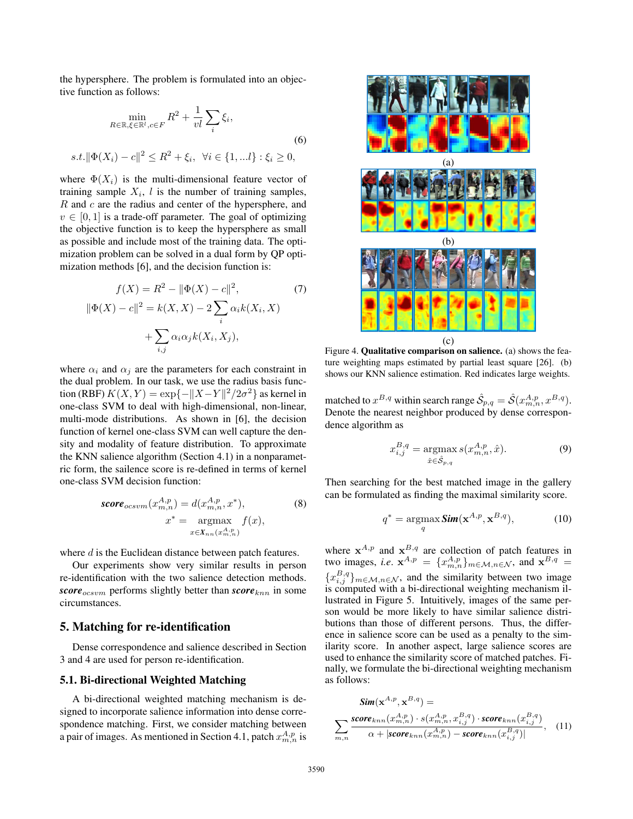the hypersphere. The problem is formulated into an objective function as follows:

$$
\min_{R \in \mathbb{R}, \xi \in \mathbb{R}^l, c \in F} R^2 + \frac{1}{vl} \sum_{i} \xi_i,
$$
\n(6)\n  
\n
$$
s.t. \|\Phi(X_i) - c\|^2 \le R^2 + \xi_i, \ \forall i \in \{1, \dots l\} : \xi_i \ge 0,
$$

where  $\Phi(X_i)$  is the multi-dimensional feature vector of training sample  $X_i$ , l is the number of training samples,  $R$  and  $c$  are the radius and center of the hypersphere, and  $v \in [0, 1]$  is a trade-off parameter. The goal of optimizing the objective function is to keep the hypersphere as small as possible and include most of the training data. The optimization problem can be solved in a dual form by QP optimization methods [6], and the decision function is:

$$
f(X) = R^2 - ||\Phi(X) - c||^2,
$$
  
\n
$$
||\Phi(X) - c||^2 = k(X, X) - 2\sum_{i} \alpha_i k(X_i, X) + \sum_{i,j} \alpha_i \alpha_j k(X_i, X_j),
$$
\n(7)

where  $\alpha_i$  and  $\alpha_j$  are the parameters for each constraint in the dual problem. In our task, we use the radius basis function (RBF)  $K(X, Y) = \exp\{-\|X - Y\|^2/2\sigma^2\}$  as kernel in one-class SVM to deal with high-dimensional, non-linear, multi-mode distributions. As shown in [6], the decision function of kernel one-class SVM can well capture the density and modality of feature distribution. To approximate the KNN salience algorithm (Section 4.1) in a nonparametric form, the sailence score is re-defined in terms of kernel one-class SVM decision function:

$$
score_{ocsum}(x_{m,n}^{A,p}) = d(x_{m,n}^{A,p}, x^*),
$$
  
\n
$$
x^* = \underset{x \in X_{nn}(x_{m,n}^{A,p})}{\text{argmax}} f(x),
$$
  
\n(8)

where d is the Euclidean distance between patch features.

Our experiments show very similar results in person re-identification with the two salience detection methods. *score*<sub>ocsvm</sub> performs slightly better than *score*<sub>knn</sub> in some circumstances.

### 5. Matching for re-identification

Dense correspondence and salience described in Section 3 and 4 are used for person re-identification.

#### 5.1. Bi-directional Weighted Matching

A bi-directional weighted matching mechanism is designed to incorporate salience information into dense correspondence matching. First, we consider matching between a pair of images. As mentioned in Section 4.1, patch  $x_{m,n}^{A,p}$  is



Figure 4. Qualitative comparison on salience. (a) shows the feature weighting maps estimated by partial least square [26]. (b) shows our KNN salience estimation. Red indicates large weights.

matched to  $x^{B,q}$  within search range  $\hat{S}_{p,q} = \hat{S}(x^{A,p}_{m,n}, x^{B,q})$ .<br>Denote the nearest neighbor produced by dense correspon-Denote the nearest neighbor produced by dense correspondence algorithm as

$$
x_{i,j}^{B,q} = \underset{\hat{x} \in \hat{\mathcal{S}}_{p,q}}{\text{argmax}} \, s(x_{m,n}^{A,p}, \hat{x}).\tag{9}
$$

Then searching for the best matched image in the gallery can be formulated as finding the maximal similarity score.

$$
q^* = \underset{q}{\operatorname{argmax}} \operatorname{Sim}(\mathbf{x}^{A,p}, \mathbf{x}^{B,q}), \tag{10}
$$

where  $x^{A,p}$  and  $x^{B,q}$  are collection of patch features in two images, *i.e.*  $\mathbf{x}^{A,p} = \{x_{m,n}^{A,p}\}_{m \in \mathcal{M}, n \in \mathcal{N}}$ , and  $\mathbf{x}^{B,q} =$  ${x_{i,j}^{B,q}}_{m \in \mathcal{M}, n \in \mathcal{N}}$ , and the similarity between two image is computed with a bi-directional weighting mechanism illustrated in Figure 5. Intuitively, images of the same person would be more likely to have similar salience distributions than those of different persons. Thus, the difference in salience score can be used as a penalty to the similarity score. In another aspect, large salience scores are used to enhance the similarity score of matched patches. Finally, we formulate the bi-directional weighting mechanism as follows:

$$
Sim(\mathbf{x}^{A,p}, \mathbf{x}^{B,q}) =
$$

$$
\sum_{m,n} \frac{score_{knn}(x_{m,n}^{A,p}) \cdot s(x_{m,n}^{A,p}, x_{i,j}^{B,q}) \cdot score_{knn}(x_{i,j}^{B,q})}{\alpha + |score_{knn}(x_{m,n}^{A,p}) - score_{knn}(x_{i,j}^{B,q})|}, \quad (11)
$$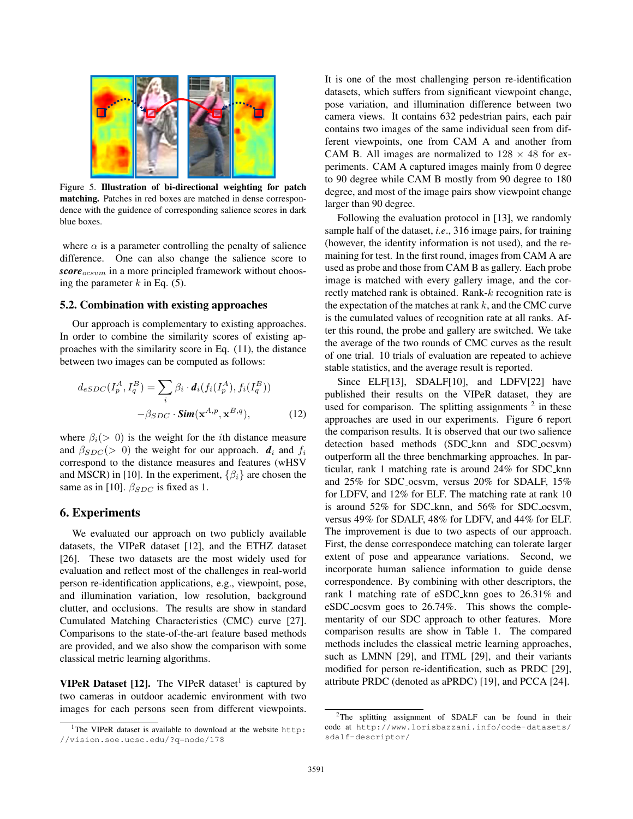

Figure 5. Illustration of bi-directional weighting for patch matching. Patches in red boxes are matched in dense correspondence with the guidence of corresponding salience scores in dark blue boxes.

where  $\alpha$  is a parameter controlling the penalty of salience difference. One can also change the salience score to *score*<sub>ocsvm</sub> in a more principled framework without choosing the parameter  $k$  in Eq. (5).

#### 5.2. Combination with existing approaches

Our approach is complementary to existing approaches. In order to combine the similarity scores of existing approaches with the similarity score in Eq. (11), the distance between two images can be computed as follows:

$$
d_{eSDC}(I_p^A, I_q^B) = \sum_i \beta_i \cdot d_i(f_i(I_p^A), f_i(I_q^B))
$$

$$
-\beta_{SDC} \cdot \mathbf{Sim}(\mathbf{x}^{A,p}, \mathbf{x}^{B,q}), \qquad (12)
$$

where  $\beta_i(> 0)$  is the weight for the *i*th distance measure and  $\beta_{SDC}$  (> 0) the weight for our approach.  $d_i$  and  $f_i$ correspond to the distance measures and features (wHSV and MSCR) in [10]. In the experiment,  $\{\beta_i\}$  are chosen the same as in [10].  $\beta_{SDC}$  is fixed as 1.

#### 6. Experiments

We evaluated our approach on two publicly available datasets, the VIPeR dataset [12], and the ETHZ dataset [26]. These two datasets are the most widely used for evaluation and reflect most of the challenges in real-world person re-identification applications, e.g., viewpoint, pose, and illumination variation, low resolution, background clutter, and occlusions. The results are show in standard Cumulated Matching Characteristics (CMC) curve [27]. Comparisons to the state-of-the-art feature based methods are provided, and we also show the comparison with some classical metric learning algorithms.

**VIPeR Dataset [12].** The VIPeR dataset<sup>1</sup> is captured by two cameras in outdoor academic environment with two images for each persons seen from different viewpoints.

It is one of the most challenging person re-identification datasets, which suffers from significant viewpoint change, pose variation, and illumination difference between two camera views. It contains 632 pedestrian pairs, each pair contains two images of the same individual seen from different viewpoints, one from CAM A and another from CAM B. All images are normalized to  $128 \times 48$  for experiments. CAM A captured images mainly from 0 degree to 90 degree while CAM B mostly from 90 degree to 180 degree, and most of the image pairs show viewpoint change larger than 90 degree.

Following the evaluation protocol in [13], we randomly sample half of the dataset, *i.e*., 316 image pairs, for training (however, the identity information is not used), and the remaining for test. In the first round, images from CAM A are used as probe and those from CAM B as gallery. Each probe image is matched with every gallery image, and the correctly matched rank is obtained. Rank-k recognition rate is the expectation of the matches at rank  $k$ , and the CMC curve is the cumulated values of recognition rate at all ranks. After this round, the probe and gallery are switched. We take the average of the two rounds of CMC curves as the result of one trial. 10 trials of evaluation are repeated to achieve stable statistics, and the average result is reported.

Since ELF[13], SDALF[10], and LDFV[22] have published their results on the VIPeR dataset, they are used for comparison. The splitting assignments  $2$  in these approaches are used in our experiments. Figure 6 report the comparison results. It is observed that our two salience detection based methods (SDC knn and SDC ocsvm) outperform all the three benchmarking approaches. In particular, rank 1 matching rate is around 24% for SDC knn and 25% for SDC ocsvm, versus 20% for SDALF, 15% for LDFV, and 12% for ELF. The matching rate at rank 10 is around 52% for SDC knn, and 56% for SDC ocsvm, versus 49% for SDALF, 48% for LDFV, and 44% for ELF. The improvement is due to two aspects of our approach. First, the dense correspondece matching can tolerate larger extent of pose and appearance variations. Second, we incorporate human salience information to guide dense correspondence. By combining with other descriptors, the rank 1 matching rate of eSDC knn goes to 26.31% and eSDC ocsvm goes to 26.74%. This shows the complementarity of our SDC approach to other features. More comparison results are show in Table 1. The compared methods includes the classical metric learning approaches, such as LMNN [29], and ITML [29], and their variants modified for person re-identification, such as PRDC [29], attribute PRDC (denoted as aPRDC) [19], and PCCA [24].

<sup>1</sup>The VIPeR dataset is available to download at the website http: //vision.soe.ucsc.edu/?q=node/178

<sup>&</sup>lt;sup>2</sup>The splitting assignment of SDALF can be found in their code at http://www.lorisbazzani.info/code-datasets/ sdalf-descriptor/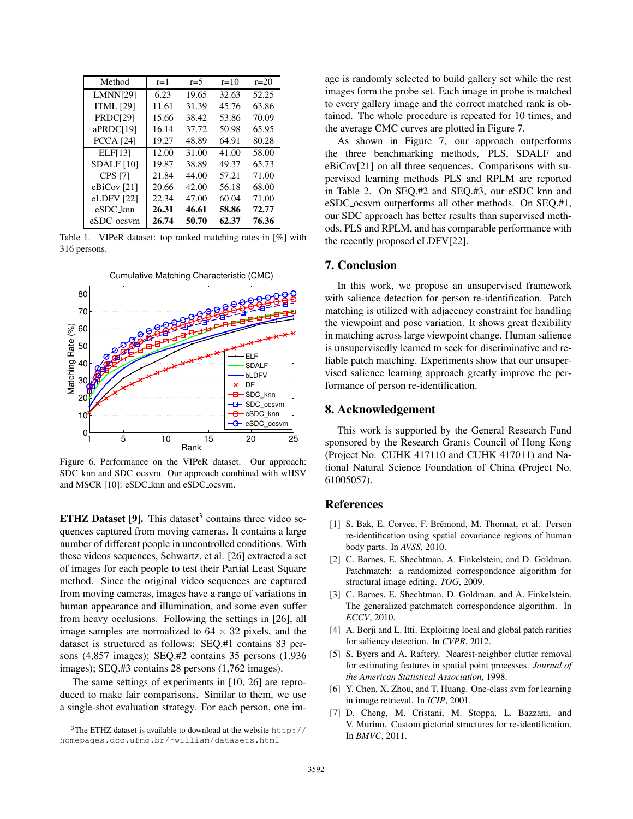| Method                  | $r=1$ | $r=5$ | $r = 10$ | $r = 20$ |
|-------------------------|-------|-------|----------|----------|
| <b>LMNN[29]</b>         | 6.23  | 19.65 | 32.63    | 52.25    |
| <b>ITML [29]</b>        | 11.61 | 31.39 | 45.76    | 63.86    |
| <b>PRDC[29]</b>         | 15.66 | 38.42 | 53.86    | 70.09    |
| aPRDC[19]               | 16.14 | 37.72 | 50.98    | 65.95    |
| <b>PCCA</b> [24]        | 19.27 | 48.89 | 64.91    | 80.28    |
| <b>ELF[13]</b>          | 12.00 | 31.00 | 41.00    | 58.00    |
| SDALF[10]               | 19.87 | 38.89 | 49.37    | 65.73    |
| <b>CPS</b> [7]          | 21.84 | 44.00 | 57.21    | 71.00    |
| eBiCov $[21]$           | 20.66 | 42.00 | 56.18    | 68.00    |
| eLDFV [22]              | 22.34 | 47.00 | 60.04    | 71.00    |
| eSDC knn                | 26.31 | 46.61 | 58.86    | 72.77    |
| eSDC <sub>-</sub> ocsvm | 26.74 | 50.70 | 62.37    | 76.36    |

Table 1. VIPeR dataset: top ranked matching rates in [%] with 316 persons.



Figure 6. Performance on the VIPeR dataset. Our approach: SDC knn and SDC ocsvm. Our approach combined with wHSV and MSCR [10]: eSDC\_knn and eSDC\_ocsvm.

**ETHZ Dataset [9].** This dataset<sup>3</sup> contains three video sequences captured from moving cameras. It contains a large number of different people in uncontrolled conditions. With these videos sequences, Schwartz, et al. [26] extracted a set of images for each people to test their Partial Least Square method. Since the original video sequences are captured from moving cameras, images have a range of variations in human appearance and illumination, and some even suffer from heavy occlusions. Following the settings in [26], all image samples are normalized to  $64 \times 32$  pixels, and the dataset is structured as follows: SEQ.#1 contains 83 persons (4,857 images); SEQ.#2 contains 35 persons (1,936 images); SEQ.#3 contains 28 persons (1,762 images).

The same settings of experiments in [10, 26] are reproduced to make fair comparisons. Similar to them, we use a single-shot evaluation strategy. For each person, one image is randomly selected to build gallery set while the rest images form the probe set. Each image in probe is matched to every gallery image and the correct matched rank is obtained. The whole procedure is repeated for 10 times, and the average CMC curves are plotted in Figure 7.

As shown in Figure 7, our approach outperforms the three benchmarking methods, PLS, SDALF and eBiCov[21] on all three sequences. Comparisons with supervised learning methods PLS and RPLM are reported in Table 2. On SEQ.#2 and SEQ.#3, our eSDC knn and eSDC ocsvm outperforms all other methods. On SEQ.#1, our SDC approach has better results than supervised methods, PLS and RPLM, and has comparable performance with the recently proposed eLDFV[22].

### 7. Conclusion

In this work, we propose an unsupervised framework with salience detection for person re-identification. Patch matching is utilized with adjacency constraint for handling the viewpoint and pose variation. It shows great flexibility in matching across large viewpoint change. Human salience is unsupervisedly learned to seek for discriminative and reliable patch matching. Experiments show that our unsupervised salience learning approach greatly improve the performance of person re-identification.

### 8. Acknowledgement

This work is supported by the General Research Fund sponsored by the Research Grants Council of Hong Kong (Project No. CUHK 417110 and CUHK 417011) and National Natural Science Foundation of China (Project No. 61005057).

### References

- [1] S. Bak, E. Corvee, F. Brémond, M. Thonnat, et al. Person re-identification using spatial covariance regions of human body parts. In *AVSS*, 2010.
- [2] C. Barnes, E. Shechtman, A. Finkelstein, and D. Goldman. Patchmatch: a randomized correspondence algorithm for structural image editing. *TOG*, 2009.
- [3] C. Barnes, E. Shechtman, D. Goldman, and A. Finkelstein. The generalized patchmatch correspondence algorithm. In *ECCV*, 2010.
- [4] A. Borji and L. Itti. Exploiting local and global patch rarities for saliency detection. In *CVPR*, 2012.
- [5] S. Byers and A. Raftery. Nearest-neighbor clutter removal for estimating features in spatial point processes. *Journal of the American Statistical Association*, 1998.
- [6] Y. Chen, X. Zhou, and T. Huang. One-class svm for learning in image retrieval. In *ICIP*, 2001.
- [7] D. Cheng, M. Cristani, M. Stoppa, L. Bazzani, and V. Murino. Custom pictorial structures for re-identification. In *BMVC*, 2011.

 $3$ The ETHZ dataset is available to download at the website http:// homepages.dcc.ufmg.br/˜william/datasets.html